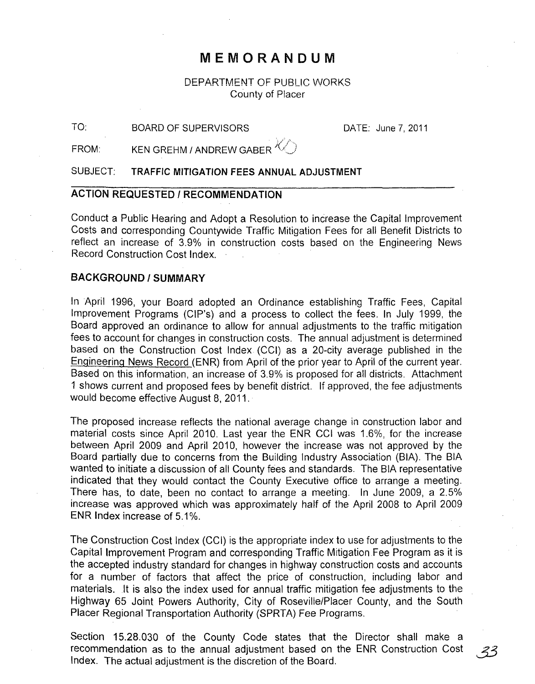## **MEMORANDUM**

DEPARTMENT OF PUBLIC WORKS County of Placer

TO: BOARD OF SUPERVISORS DATE: June 7, 2011

FROM: KEN GREHM / ANDREW GABER J(/,)

SUBJECT: **TRAFFIC MITIGATION FEES ANNUAL ADJUSTMENT** 

#### **ACTION REQUESTED I RECOMMENDATION**

Conduct a Public Hearing and Adopt a Resolution to increase the Capital Improvement Costs and corresponding Countywide Traffic Mitigation Fees for all Benefit Districts to reflect an increase of 3,9% in construction costs based on the Engineering News Record Construction Cost Index.

#### **BACKGROUND/SUMMARY**

In April 1996, your Board adopted an Ordinance establishing Traffic Fees, Capital Improvement Programs (CIP's) and a process to collect the fees. In July 1999, the Board approved an ordinance to allow for annual adjustments to the traffic mitigation fees to account for changes in construction costs. The annual adjustment is determined based on the Construction Cost Index (CCI) as a 20-city average published in the Engineering News Record (ENR) from April of the prior year to April of the current year. Based on this information, an increase of 3.9% is proposed for all districts. Attachment 1 shows current and proposed fees by benefit district. If approved, the fee adjustments would become effective August 8,2011.

The proposed increase reflects the national average change in construction labor and material costs since April 2010. Last year the ENR CCI was 1.6%, for the increase between April 2009 and April 2010, however the increase was not approved by the Board partially due to concerns from the Building Industry Association (BIA). The BIA wanted to initiate a discussion of all County fees and standards. The BIA representative indicated that they would contact the County Executive office to arrange a meeting. There has, to date, been no contact to arrange a meeting. In June 2009, a 2.5% increase was approved which was approximately half of the April 2008 to April 2009 ENR Index increase of 5.1 %.

The Construction Cost Index (CCI) is the appropriate index to use for adjustments to the Capital Improvement Program and corresponding Traffic Mitigation Fee Program as it is the accepted industry standard for changes in highway construction costs and accounts for a number of factors that affect the price of construction, including labor and materials. It is also the index used for annual traffic mitigation fee adjustments to the Highway 65 Joint Powers Authority, City of Roseville/Placer County, and the South Placer Regional Transportation Authority (SPRTA) Fee Programs.

Section 15.28.030 of the County Code states that the Director shall make a recommendation as to the annual adjustment based on the ENR Construction Cost .  $33$ Index. The actual adjustment is the discretion of the Board.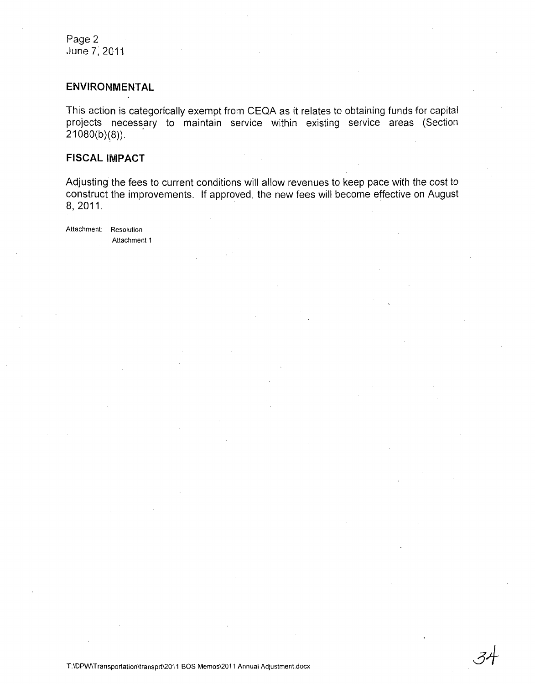Page 2 June 7; 2011

#### **ENVIRONMENTAL**

This action is categorically exempt from CEQA as it relates to obtaining funds for capital projects necessary to maintain service within existing service areas (Section  $21080(b)(8)$ ).

#### **FISCAL IMPACT**

Adjusting the fees to current conditions will allow revenues to keep pace with the cost to construct the improvements, If approved, the new fees will become effective on August 8,2011.

Attachment: Resolution Attachment 1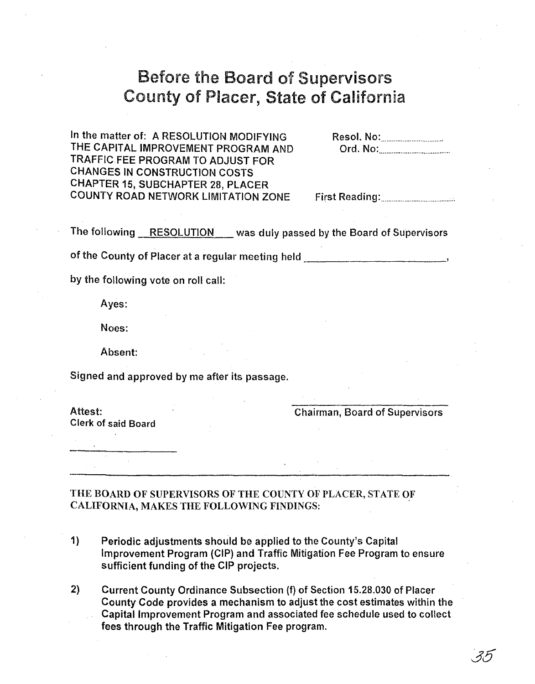# Before the Board of Supervisors County of Placer, State of California

In the matter of: A RESOLUTION MODIFYING THE CAPITAL IMPROVEMENT PROGRAM AND TRAFFIC FEE PROGRAM TO ADJUST FOR CHANGES IN CONSTRUCTION COSTS CHAPTER 15, SUBCHAPTER 28, PLACER COUNTY ROAD NETWORK LIMITATION ZONE

Resol. No: ................................. .. Ord. No: ....................................... .

First Reading: ......................................... .

The following RESOLUTION was duly passed by the Board of Supervisors

of the County of Placer at a regular meeting held  $\qquad \qquad$ 

by the following vote on roll call:

Ayes:

Noes:

Absent:

Signed and approved by me after its passage.

Clerk of said Board

Attest: Chairman, Board of Supervisors

THE BOARD OF SUPERVISORS OF THE COUNTY OF PLACER, STATE OF CALIFORNIA, MAKES THE FOLLOWING FINDINGS: .

- 1) Periodic adjustments should be applied to the County's Capital Improvement Program (CIP) and Traffic Mitigation Fee Program to ensure sufficient funding of the CIP projects.
- 2) Current County Ordinance Subsection (f) of Section 15.28.030 of Placer County Code provides a mechanism to adjust the cost estimates within the Capital Improvement Program and associated fee schedule used to collect fees through the Traffic Mitigation Fee program.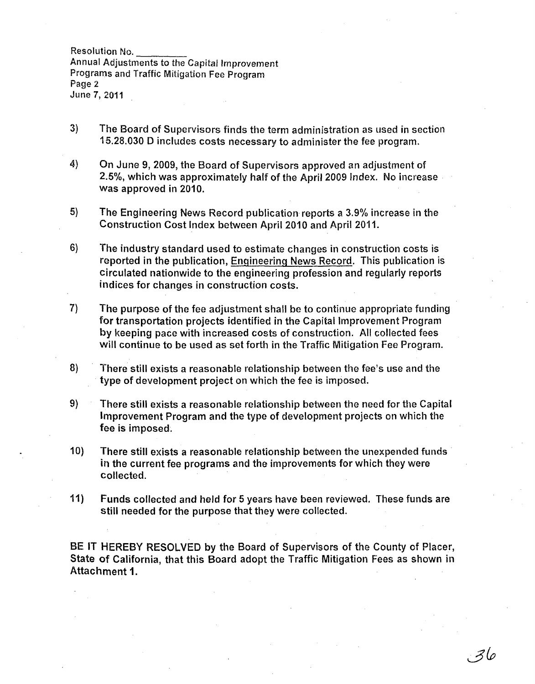Resolution No. ---- Annual Adjustments to the Capital Improvement Programs and Traffic Mitigation Fee Program Page 2 June 7, 2011

- 3) The Board of Supervisors finds the term administration as used in section 15.28.030 D includes costs necessary to administer the fee program.
- 4) On June 9, 2009, the Board of Supervisors approved an adjustment of 2.5%, which was approximately half of the April 2009 Index. No increase was approved in 2010.
- 5) The Engineering News Record publication reports a 3.9% increase in the Construction Cost Index between April 2010 and April 2011.
- 6) The industry standard used to estimate changes in construction costs is reported in the publication, Engineering News Record. This publication is circulated nationwide to the engineering profession and regularly reports indices for changes in construction costs.
- 7) The purpose of the fee adjustment shall be to continue appropriate funding for transportation projects identified in the Capital Improvement Program by keeping pace with increased costs of construction. All collected fees will continue to be used as set forth in the Traffic Mitigation Fee Program.
- 8) There still exists a reasonable relationship between the fee's use and the type of development project on which the fee is imposed.
- 9) There still exists a reasonable relationship between the need for the Capital Improvement Program and the type of development projects on which the fee is imposed.
- 10) There still exists a reasonable relationship between the unexpended funds in the current fee programs and the improvements for which they were collected.
- 11) Funds collected and held for 5 years have been reviewed. These funds are still needed for the purpose that they were collected.

BE IT HEREBY RESOLVED by the Board of Supervisors of the County of Placer, State of California, that this Board adopt the Traffic Mitigation Fees as shown in Attachment 1.

. 36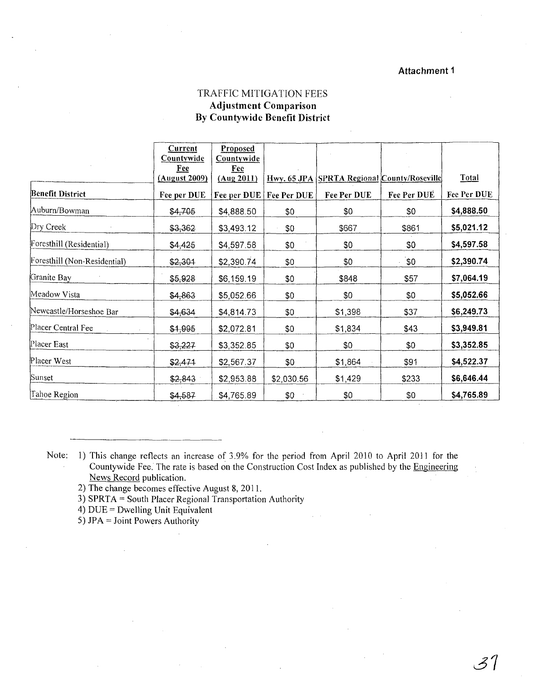#### Attachment 1

### TRAFFIC MITIGATION FEES Adjustment Comparison By Countywide Benefit District

|                              | <b>Current</b><br><b>Countywide</b> | Proposed<br><b>Countywide</b> |                           |                                             |             |              |
|------------------------------|-------------------------------------|-------------------------------|---------------------------|---------------------------------------------|-------------|--------------|
|                              | Fee<br>(August 2009)                | Fee<br>(Aug 2011)             |                           | Hwy. 65 JPA SPRTA Regional County/Roseville |             | <b>Total</b> |
| <b>Benefit District</b>      | Fee per DUE                         |                               | Fee per DUE   Fee Per DUE | Fee Per DUE                                 | Fee Per DUE | Fee Per DUE  |
| Auburn/Bowman                | \$4,705                             | \$4,888.50                    | \$0                       | \$0                                         | \$0         | \$4,888.50   |
| Dry Creek                    | \$3,362                             | \$3,493.12                    | \$0                       | \$667                                       | \$861       | \$5,021.12   |
| Foresthill (Residential)     | \$4,425                             | \$4,597.58                    | \$0                       | \$0                                         | \$0         | \$4,597.58   |
| Foresthill (Non-Residential) | \$2,301                             | \$2,390.74                    | \$0                       | \$0                                         | ີ\$0        | \$2,390.74   |
| Granite Bay                  | \$5,928                             | \$6,159.19                    | \$0                       | \$848                                       | \$57        | \$7,064.19   |
| Meadow Vista                 | \$4,863                             | \$5,052.66                    | \$0                       | \$0                                         | \$0         | \$5,052.66   |
| Newcastle/Horseshoe Bar      | \$4,634                             | \$4,814.73                    | \$0                       | \$1,398                                     | \$37        | \$6,249.73   |
| Placer Central Fee           | \$1,995                             | \$2,072.81                    | \$0                       | \$1,834                                     | \$43        | \$3,949.81   |
| Placer East                  | \$3,227                             | \$3,352.85                    | \$0                       | \$0                                         | \$0         | \$3,352.85   |
| Placer West                  | \$2,471                             | \$2,567.37                    | \$0                       | \$1,864                                     | \$91        | \$4,522.37   |
| Sunset                       | \$2,843                             | \$2,953.88                    | \$2,030.56                | \$1,429                                     | \$233       | \$6,646.44   |
| Tahoe Region                 | \$4,587                             | \$4,765.89                    | \$0                       | \$0                                         | \$0         | \$4,765.89   |

Note: 1) This change reflects an increase of 3.9% for the period from April 2010 to April 2011 for the Countywide Fee. The rate is based on the Construction Cost Index as published by the Engineering News Record publication.

2) The change becomes effective August 8, 2011.

3) SPRTA = South Placer Regional Transportation Authority

4) DUE = Dwelling Unit Equivalent

5) JPA = Joint Powers Authority